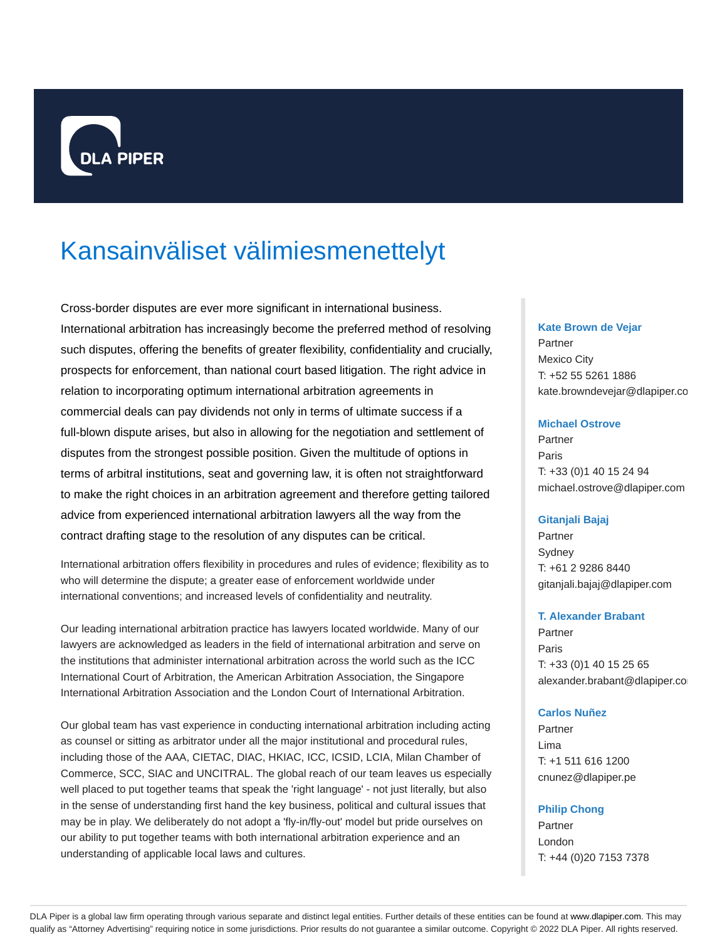

# Kansainväliset välimiesmenettelyt

Cross-border disputes are ever more significant in international business. International arbitration has increasingly become the preferred method of resolving such disputes, offering the benefits of greater flexibility, confidentiality and crucially, prospects for enforcement, than national court based litigation. The right advice in relation to incorporating optimum international arbitration agreements in commercial deals can pay dividends not only in terms of ultimate success if a full-blown dispute arises, but also in allowing for the negotiation and settlement of disputes from the strongest possible position. Given the multitude of options in terms of arbitral institutions, seat and governing law, it is often not straightforward to make the right choices in an arbitration agreement and therefore getting tailored advice from experienced international arbitration lawyers all the way from the contract drafting stage to the resolution of any disputes can be critical.

International arbitration offers flexibility in procedures and rules of evidence; flexibility as to who will determine the dispute; a greater ease of enforcement worldwide under international conventions; and increased levels of confidentiality and neutrality.

Our leading international arbitration practice has lawyers located worldwide. Many of our lawyers are acknowledged as leaders in the field of international arbitration and serve on the institutions that administer international arbitration across the world such as the ICC International Court of Arbitration, the American Arbitration Association, the Singapore International Arbitration Association and the London Court of International Arbitration.

Our global team has vast experience in conducting international arbitration including acting as counsel or sitting as arbitrator under all the major institutional and procedural rules, including those of the AAA, CIETAC, DIAC, HKIAC, ICC, ICSID, LCIA, Milan Chamber of Commerce, SCC, SIAC and UNCITRAL. The global reach of our team leaves us especially well placed to put together teams that speak the 'right language' - not just literally, but also in the sense of understanding first hand the key business, political and cultural issues that may be in play. We deliberately do not adopt a 'fly-in/fly-out' model but pride ourselves on our ability to put together teams with both international arbitration experience and an understanding of applicable local laws and cultures.

#### **Kate Brown de Vejar**

Partner Mexico City T: +52 55 5261 1886 kate.browndevejar@dlapiper.co

#### **Michael Ostrove**

Partner Paris T: +33 (0)1 40 15 24 94 michael.ostrove@dlapiper.com

#### **Gitanjali Bajaj**

Partner Sydney T: +61 2 9286 8440 gitanjali.bajaj@dlapiper.com

#### **T. Alexander Brabant**

Partner Paris T: +33 (0)1 40 15 25 65 alexander.brabant@dlapiper.com

## **Carlos Nuñez**

Partner Lima T: +1 511 616 1200 cnunez@dlapiper.pe

## **Philip Chong**

**Partner** London T: +44 (0)20 7153 7378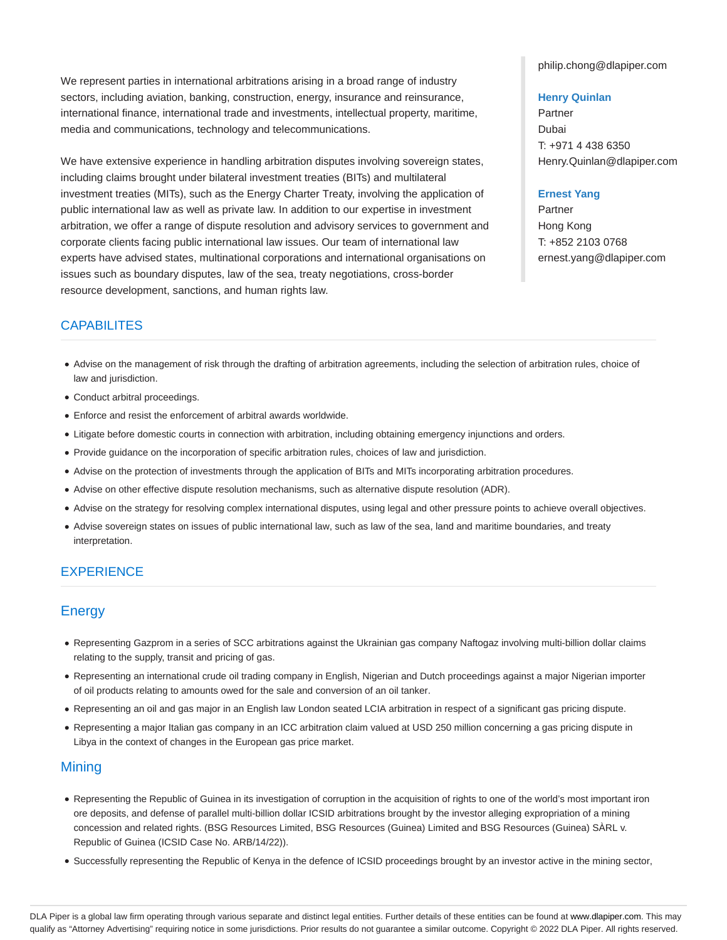We represent parties in international arbitrations arising in a broad range of industry sectors, including aviation, banking, construction, energy, insurance and reinsurance, international finance, international trade and investments, intellectual property, maritime, media and communications, technology and telecommunications.

We have extensive experience in handling arbitration disputes involving sovereign states, including claims brought under bilateral investment treaties (BITs) and multilateral investment treaties (MITs), such as the Energy Charter Treaty, involving the application of public international law as well as private law. In addition to our expertise in investment arbitration, we offer a range of dispute resolution and advisory services to government and corporate clients facing public international law issues. Our team of international law experts have advised states, multinational corporations and international organisations on issues such as boundary disputes, law of the sea, treaty negotiations, cross-border resource development, sanctions, and human rights law.

philip.chong@dlapiper.com

#### **Henry Quinlan**

Partner Dubai T: +971 4 438 6350 Henry.Quinlan@dlapiper.com

#### **Ernest Yang**

Partner Hong Kong T: +852 2103 0768 ernest.yang@dlapiper.com

# **CAPABILITES**

- Advise on the management of risk through the drafting of arbitration agreements, including the selection of arbitration rules, choice of law and jurisdiction.
- Conduct arbitral proceedings.
- Enforce and resist the enforcement of arbitral awards worldwide.
- Litigate before domestic courts in connection with arbitration, including obtaining emergency injunctions and orders.
- Provide guidance on the incorporation of specific arbitration rules, choices of law and jurisdiction.
- Advise on the protection of investments through the application of BITs and MITs incorporating arbitration procedures.
- Advise on other effective dispute resolution mechanisms, such as alternative dispute resolution (ADR).
- Advise on the strategy for resolving complex international disputes, using legal and other pressure points to achieve overall objectives.
- Advise sovereign states on issues of public international law, such as law of the sea, land and maritime boundaries, and treaty interpretation.

## **EXPERIENCE**

## **Energy**

- Representing Gazprom in a series of SCC arbitrations against the Ukrainian gas company Naftogaz involving multi-billion dollar claims relating to the supply, transit and pricing of gas.
- Representing an international crude oil trading company in English, Nigerian and Dutch proceedings against a major Nigerian importer of oil products relating to amounts owed for the sale and conversion of an oil tanker.
- Representing an oil and gas major in an English law London seated LCIA arbitration in respect of a significant gas pricing dispute.
- Representing a major Italian gas company in an ICC arbitration claim valued at USD 250 million concerning a gas pricing dispute in Libya in the context of changes in the European gas price market.

## Mining

- Representing the Republic of Guinea in its investigation of corruption in the acquisition of rights to one of the world's most important iron ore deposits, and defense of parallel multi-billion dollar ICSID arbitrations brought by the investor alleging expropriation of a mining concession and related rights. (BSG Resources Limited, BSG Resources (Guinea) Limited and BSG Resources (Guinea) SÀRL v. Republic of Guinea (ICSID Case No. ARB/14/22)).
- Successfully representing the Republic of Kenya in the defence of ICSID proceedings brought by an investor active in the mining sector,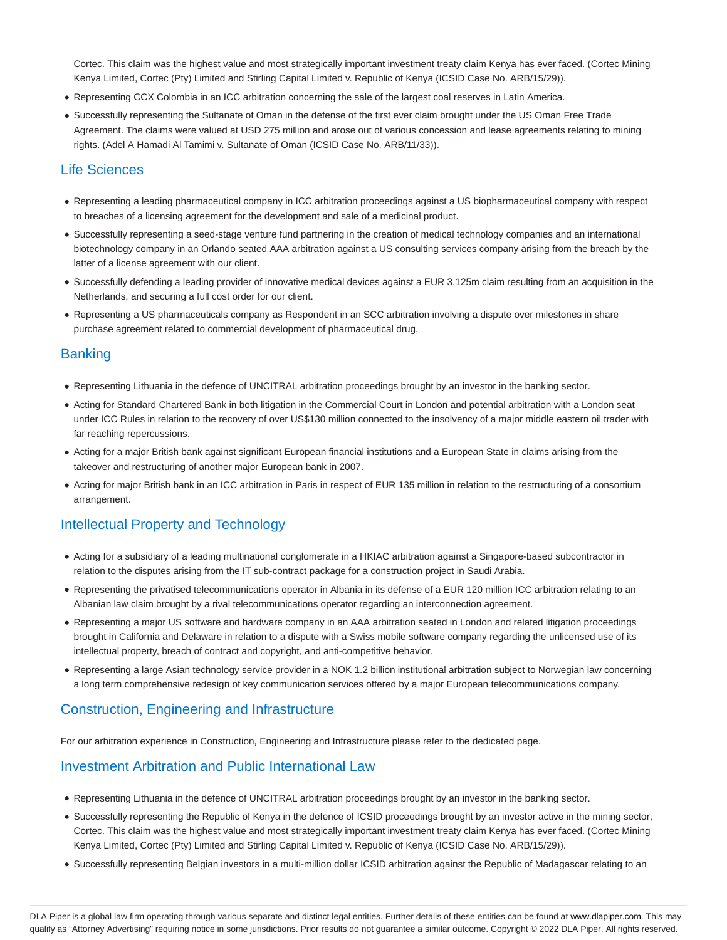Cortec. This claim was the highest value and most strategically important investment treaty claim Kenya has ever faced. (Cortec Mining Kenya Limited, Cortec (Pty) Limited and Stirling Capital Limited v. Republic of Kenya (ICSID Case No. ARB/15/29)).

- Representing CCX Colombia in an ICC arbitration concerning the sale of the largest coal reserves in Latin America.
- Successfully representing the Sultanate of Oman in the defense of the first ever claim brought under the US Oman Free Trade Agreement. The claims were valued at USD 275 million and arose out of various concession and lease agreements relating to mining rights. (Adel A Hamadi Al Tamimi v. Sultanate of Oman (ICSID Case No. ARB/11/33)).

## Life Sciences

- Representing a leading pharmaceutical company in ICC arbitration proceedings against a US biopharmaceutical company with respect to breaches of a licensing agreement for the development and sale of a medicinal product.
- Successfully representing a seed-stage venture fund partnering in the creation of medical technology companies and an international biotechnology company in an Orlando seated AAA arbitration against a US consulting services company arising from the breach by the latter of a license agreement with our client.
- Successfully defending a leading provider of innovative medical devices against a EUR 3.125m claim resulting from an acquisition in the Netherlands, and securing a full cost order for our client.
- Representing a US pharmaceuticals company as Respondent in an SCC arbitration involving a dispute over milestones in share purchase agreement related to commercial development of pharmaceutical drug.

## **Banking**

- Representing Lithuania in the defence of UNCITRAL arbitration proceedings brought by an investor in the banking sector.
- Acting for Standard Chartered Bank in both litigation in the Commercial Court in London and potential arbitration with a London seat under ICC Rules in relation to the recovery of over US\$130 million connected to the insolvency of a major middle eastern oil trader with far reaching repercussions.
- Acting for a major British bank against significant European financial institutions and a European State in claims arising from the takeover and restructuring of another major European bank in 2007.
- Acting for major British bank in an ICC arbitration in Paris in respect of EUR 135 million in relation to the restructuring of a consortium arrangement.

## Intellectual Property and Technology

- Acting for a subsidiary of a leading multinational conglomerate in a HKIAC arbitration against a Singapore-based subcontractor in relation to the disputes arising from the IT sub-contract package for a construction project in Saudi Arabia.
- Representing the privatised telecommunications operator in Albania in its defense of a EUR 120 million ICC arbitration relating to an Albanian law claim brought by a rival telecommunications operator regarding an interconnection agreement.
- Representing a major US software and hardware company in an AAA arbitration seated in London and related litigation proceedings brought in California and Delaware in relation to a dispute with a Swiss mobile software company regarding the unlicensed use of its intellectual property, breach of contract and copyright, and anti-competitive behavior.
- Representing a large Asian technology service provider in a NOK 1.2 billion institutional arbitration subject to Norwegian law concerning a long term comprehensive redesign of key communication services offered by a major European telecommunications company.

## Construction, Engineering and Infrastructure

For our arbitration experience in Construction, Engineering and Infrastructure please refer to the dedicated page.

## Investment Arbitration and Public International Law

- Representing Lithuania in the defence of UNCITRAL arbitration proceedings brought by an investor in the banking sector.
- Successfully representing the Republic of Kenya in the defence of ICSID proceedings brought by an investor active in the mining sector, Cortec. This claim was the highest value and most strategically important investment treaty claim Kenya has ever faced. (Cortec Mining Kenya Limited, Cortec (Pty) Limited and Stirling Capital Limited v. Republic of Kenya (ICSID Case No. ARB/15/29)).
- Successfully representing Belgian investors in a multi-million dollar ICSID arbitration against the Republic of Madagascar relating to an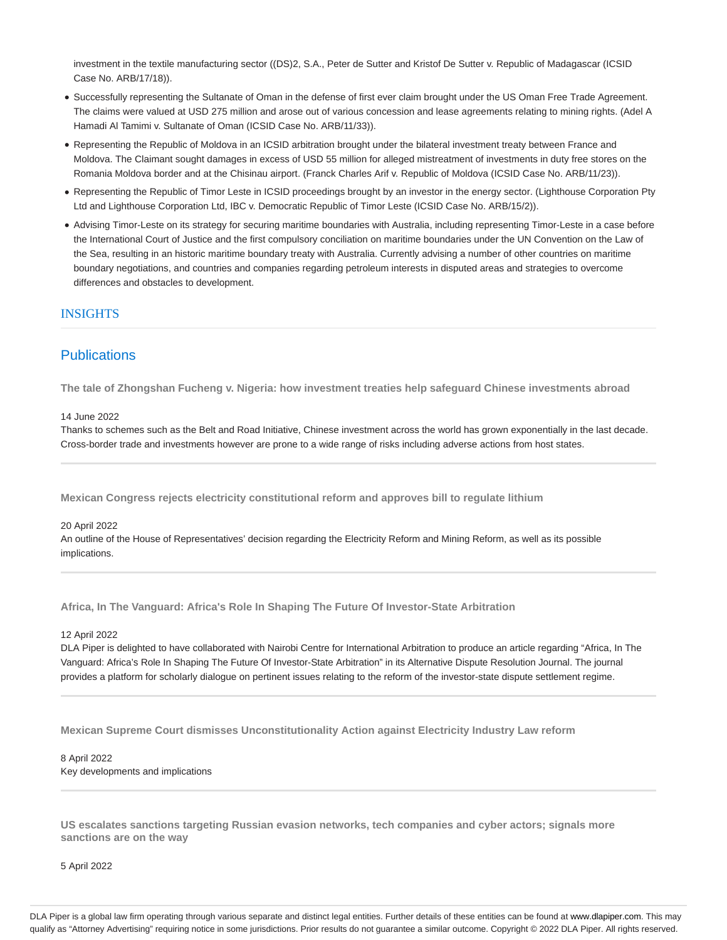investment in the textile manufacturing sector ((DS)2, S.A., Peter de Sutter and Kristof De Sutter v. Republic of Madagascar (ICSID Case No. ARB/17/18)).

- Successfully representing the Sultanate of Oman in the defense of first ever claim brought under the US Oman Free Trade Agreement. The claims were valued at USD 275 million and arose out of various concession and lease agreements relating to mining rights. (Adel A Hamadi Al Tamimi v. Sultanate of Oman (ICSID Case No. ARB/11/33)).
- Representing the Republic of Moldova in an ICSID arbitration brought under the bilateral investment treaty between France and Moldova. The Claimant sought damages in excess of USD 55 million for alleged mistreatment of investments in duty free stores on the Romania Moldova border and at the Chisinau airport. (Franck Charles Arif v. Republic of Moldova (ICSID Case No. ARB/11/23)).
- Representing the Republic of Timor Leste in ICSID proceedings brought by an investor in the energy sector. (Lighthouse Corporation Pty Ltd and Lighthouse Corporation Ltd, IBC v. Democratic Republic of Timor Leste (ICSID Case No. ARB/15/2)).
- Advising Timor-Leste on its strategy for securing maritime boundaries with Australia, including representing Timor-Leste in a case before the International Court of Justice and the first compulsory conciliation on maritime boundaries under the UN Convention on the Law of the Sea, resulting in an historic maritime boundary treaty with Australia. Currently advising a number of other countries on maritime boundary negotiations, and countries and companies regarding petroleum interests in disputed areas and strategies to overcome differences and obstacles to development.

#### INSIGHTS

## **Publications**

**The tale of Zhongshan Fucheng v. Nigeria: how investment treaties help safeguard Chinese investments abroad**

#### 14 June 2022

Thanks to schemes such as the Belt and Road Initiative, Chinese investment across the world has grown exponentially in the last decade. Cross-border trade and investments however are prone to a wide range of risks including adverse actions from host states.

**Mexican Congress rejects electricity constitutional reform and approves bill to regulate lithium**

#### 20 April 2022

An outline of the House of Representatives' decision regarding the Electricity Reform and Mining Reform, as well as its possible implications.

**Africa, In The Vanguard: Africa's Role In Shaping The Future Of Investor-State Arbitration**

#### 12 April 2022

DLA Piper is delighted to have collaborated with Nairobi Centre for International Arbitration to produce an article regarding "Africa, In The Vanguard: Africa's Role In Shaping The Future Of Investor-State Arbitration" in its Alternative Dispute Resolution Journal. The journal provides a platform for scholarly dialogue on pertinent issues relating to the reform of the investor-state dispute settlement regime.

**Mexican Supreme Court dismisses Unconstitutionality Action against Electricity Industry Law reform**

## 8 April 2022 Key developments and implications

**US escalates sanctions targeting Russian evasion networks, tech companies and cyber actors; signals more sanctions are on the way**

5 April 2022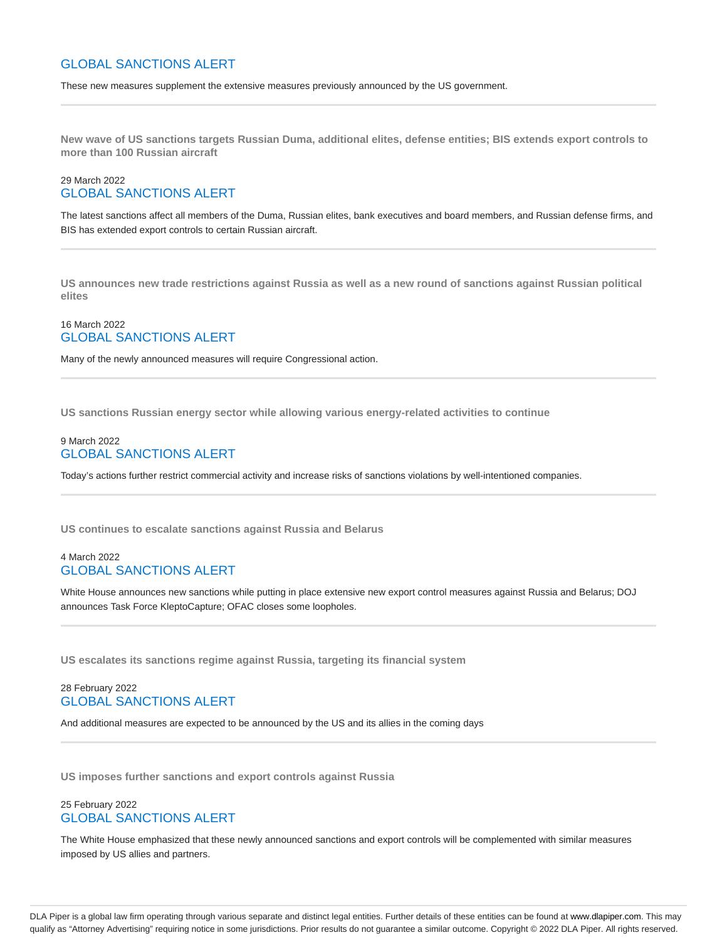## GLOBAL SANCTIONS ALERT

These new measures supplement the extensive measures previously announced by the US government.

**New wave of US sanctions targets Russian Duma, additional elites, defense entities; BIS extends export controls to more than 100 Russian aircraft**

## 29 March 2022 GLOBAL SANCTIONS ALERT

The latest sanctions affect all members of the Duma, Russian elites, bank executives and board members, and Russian defense firms, and BIS has extended export controls to certain Russian aircraft.

**US announces new trade restrictions against Russia as well as a new round of sanctions against Russian political elites**

## 16 March 2022 GLOBAL SANCTIONS ALERT

Many of the newly announced measures will require Congressional action.

**US sanctions Russian energy sector while allowing various energy-related activities to continue**

## 9 March 2022 GLOBAL SANCTIONS ALERT

Today's actions further restrict commercial activity and increase risks of sanctions violations by well-intentioned companies.

**US continues to escalate sanctions against Russia and Belarus**

## 4 March 2022 GLOBAL SANCTIONS ALERT

White House announces new sanctions while putting in place extensive new export control measures against Russia and Belarus; DOJ announces Task Force KleptoCapture; OFAC closes some loopholes.

**US escalates its sanctions regime against Russia, targeting its financial system**

## 28 February 2022 GLOBAL SANCTIONS ALERT

And additional measures are expected to be announced by the US and its allies in the coming days

**US imposes further sanctions and export controls against Russia**

## 25 February 2022 GLOBAL SANCTIONS ALERT

The White House emphasized that these newly announced sanctions and export controls will be complemented with similar measures imposed by US allies and partners.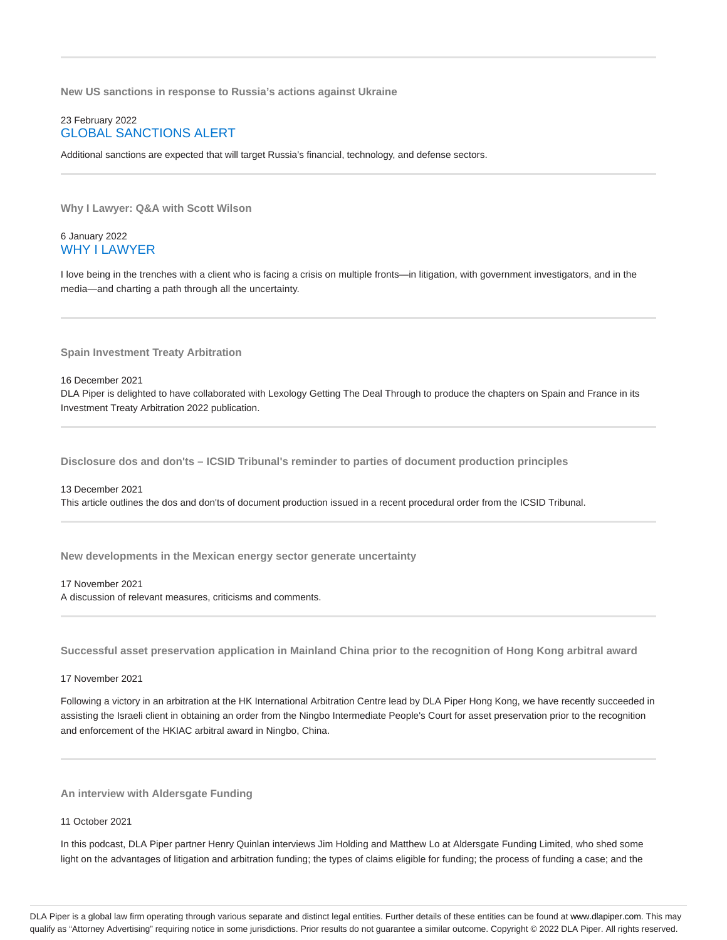**New US sanctions in response to Russia's actions against Ukraine**

## 23 February 2022 GLOBAL SANCTIONS ALERT

Additional sanctions are expected that will target Russia's financial, technology, and defense sectors.

**Why I Lawyer: Q&A with Scott Wilson**

#### 6 January 2022 WHY I LAWYER

I love being in the trenches with a client who is facing a crisis on multiple fronts—in litigation, with government investigators, and in the media—and charting a path through all the uncertainty.

**Spain Investment Treaty Arbitration**

16 December 2021 DLA Piper is delighted to have collaborated with Lexology Getting The Deal Through to produce the chapters on Spain and France in its Investment Treaty Arbitration 2022 publication.

**Disclosure dos and don'ts – ICSID Tribunal's reminder to parties of document production principles**

## 13 December 2021 This article outlines the dos and don'ts of document production issued in a recent procedural order from the ICSID Tribunal.

**New developments in the Mexican energy sector generate uncertainty**

#### 17 November 2021 A discussion of relevant measures, criticisms and comments.

**Successful asset preservation application in Mainland China prior to the recognition of Hong Kong arbitral award**

#### 17 November 2021

Following a victory in an arbitration at the HK International Arbitration Centre lead by DLA Piper Hong Kong, we have recently succeeded in assisting the Israeli client in obtaining an order from the Ningbo Intermediate People's Court for asset preservation prior to the recognition and enforcement of the HKIAC arbitral award in Ningbo, China.

#### **An interview with Aldersgate Funding**

11 October 2021

In this podcast, DLA Piper partner Henry Quinlan interviews Jim Holding and Matthew Lo at Aldersgate Funding Limited, who shed some light on the advantages of litigation and arbitration funding; the types of claims eligible for funding; the process of funding a case; and the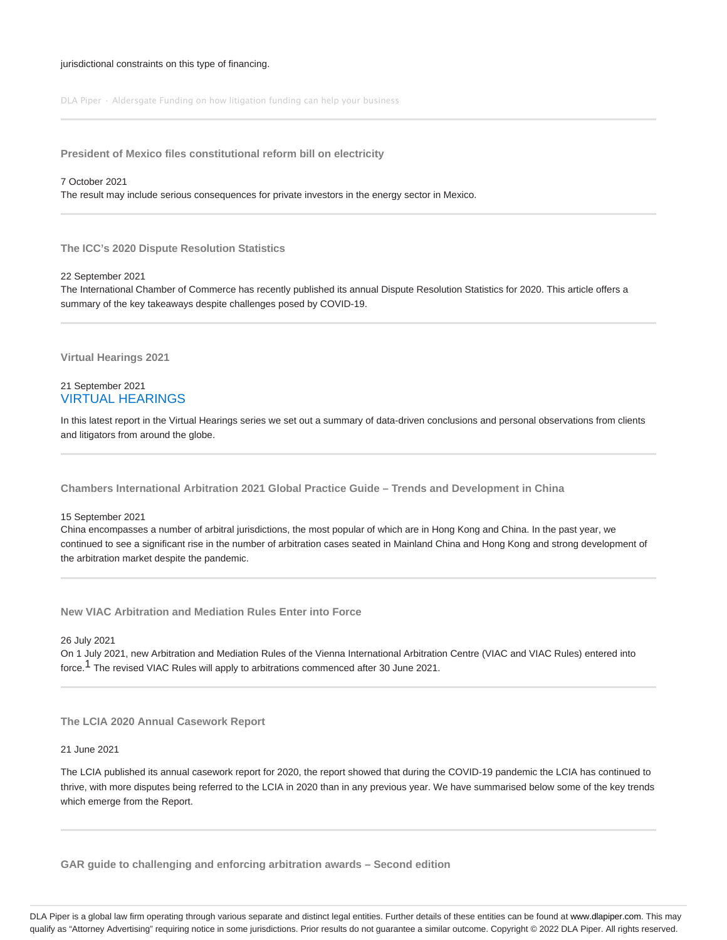#### jurisdictional constraints on this type of financing.

DLA Piper · Aldersgate Funding on how litigation funding can help your business

**President of Mexico files constitutional reform bill on electricity**

#### 7 October 2021

The result may include serious consequences for private investors in the energy sector in Mexico.

**The ICC's 2020 Dispute Resolution Statistics**

22 September 2021

The International Chamber of Commerce has recently published its annual Dispute Resolution Statistics for 2020. This article offers a summary of the key takeaways despite challenges posed by COVID-19.

**Virtual Hearings 2021**

## 21 September 2021 VIRTUAL HEARINGS

In this latest report in the Virtual Hearings series we set out a summary of data-driven conclusions and personal observations from clients and litigators from around the globe.

**Chambers International Arbitration 2021 Global Practice Guide – Trends and Development in China**

15 September 2021

China encompasses a number of arbitral jurisdictions, the most popular of which are in Hong Kong and China. In the past year, we continued to see a significant rise in the number of arbitration cases seated in Mainland China and Hong Kong and strong development of the arbitration market despite the pandemic.

**New VIAC Arbitration and Mediation Rules Enter into Force**

26 July 2021

On 1 July 2021, new Arbitration and Mediation Rules of the Vienna International Arbitration Centre (VIAC and VIAC Rules) entered into force.<sup>1</sup> The revised VIAC Rules will apply to arbitrations commenced after 30 June 2021.

**The LCIA 2020 Annual Casework Report**

21 June 2021

The LCIA published its annual casework report for 2020, the report showed that during the COVID-19 pandemic the LCIA has continued to thrive, with more disputes being referred to the LCIA in 2020 than in any previous year. We have summarised below some of the key trends which emerge from the Report.

**GAR guide to challenging and enforcing arbitration awards – Second edition**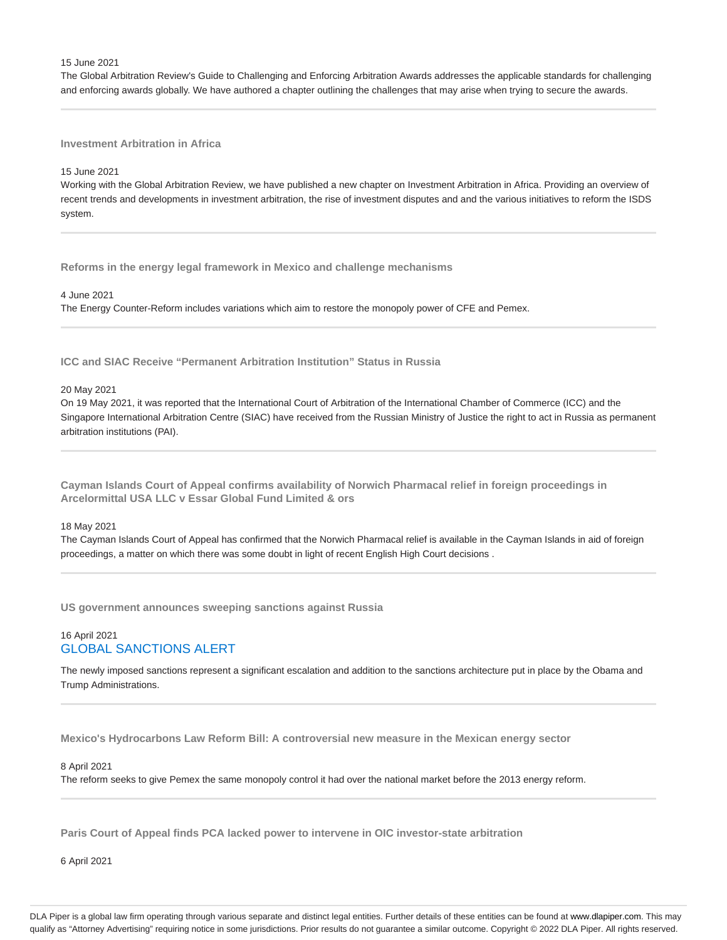#### 15 June 2021

The Global Arbitration Review's Guide to Challenging and Enforcing Arbitration Awards addresses the applicable standards for challenging and enforcing awards globally. We have authored a chapter outlining the challenges that may arise when trying to secure the awards.

## **Investment Arbitration in Africa**

#### 15 June 2021

Working with the Global Arbitration Review, we have published a new chapter on Investment Arbitration in Africa. Providing an overview of recent trends and developments in investment arbitration, the rise of investment disputes and and the various initiatives to reform the ISDS system.

**Reforms in the energy legal framework in Mexico and challenge mechanisms**

4 June 2021

The Energy Counter-Reform includes variations which aim to restore the monopoly power of CFE and Pemex.

**ICC and SIAC Receive "Permanent Arbitration Institution" Status in Russia**

#### 20 May 2021

On 19 May 2021, it was reported that the International Court of Arbitration of the International Chamber of Commerce (ICC) and the Singapore International Arbitration Centre (SIAC) have received from the Russian Ministry of Justice the right to act in Russia as permanent arbitration institutions (PAI).

**Cayman Islands Court of Appeal confirms availability of Norwich Pharmacal relief in foreign proceedings in Arcelormittal USA LLC v Essar Global Fund Limited & ors**

#### 18 May 2021

The Cayman Islands Court of Appeal has confirmed that the Norwich Pharmacal relief is available in the Cayman Islands in aid of foreign proceedings, a matter on which there was some doubt in light of recent English High Court decisions .

**US government announces sweeping sanctions against Russia**

## 16 April 2021 GLOBAL SANCTIONS ALERT

The newly imposed sanctions represent a significant escalation and addition to the sanctions architecture put in place by the Obama and Trump Administrations.

**Mexico's Hydrocarbons Law Reform Bill: A controversial new measure in the Mexican energy sector**

#### 8 April 2021

The reform seeks to give Pemex the same monopoly control it had over the national market before the 2013 energy reform.

**Paris Court of Appeal finds PCA lacked power to intervene in OIC investor-state arbitration**

6 April 2021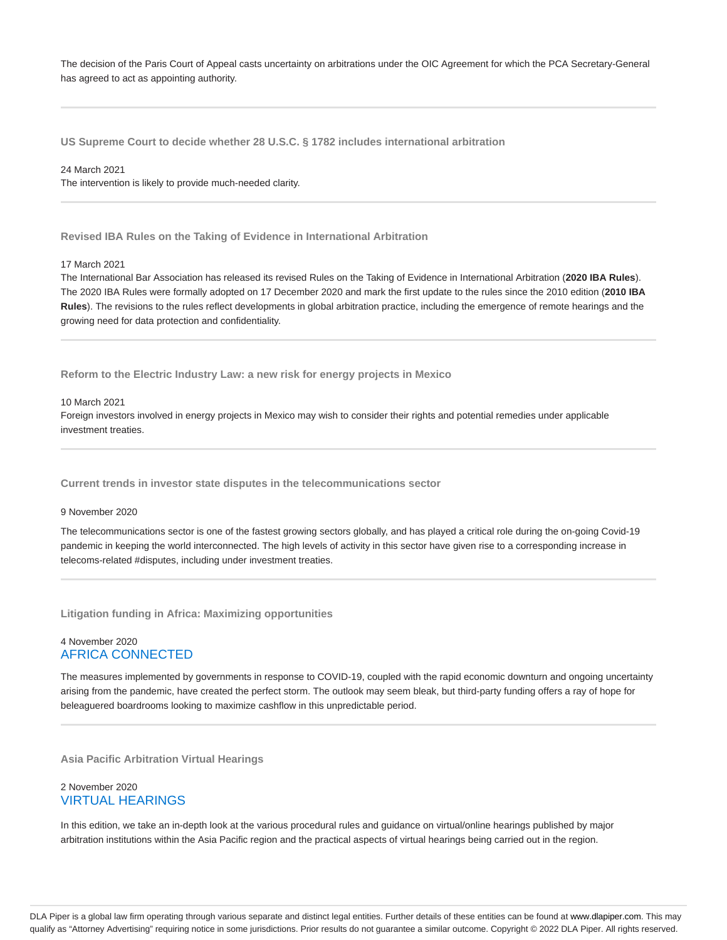The decision of the Paris Court of Appeal casts uncertainty on arbitrations under the OIC Agreement for which the PCA Secretary-General has agreed to act as appointing authority.

**US Supreme Court to decide whether 28 U.S.C. § 1782 includes international arbitration**

24 March 2021 The intervention is likely to provide much-needed clarity.

**Revised IBA Rules on the Taking of Evidence in International Arbitration**

#### 17 March 2021

The International Bar Association has released its revised Rules on the Taking of Evidence in International Arbitration (**2020 IBA Rules**). The 2020 IBA Rules were formally adopted on 17 December 2020 and mark the first update to the rules since the 2010 edition (**2010 IBA Rules**). The revisions to the rules reflect developments in global arbitration practice, including the emergence of remote hearings and the growing need for data protection and confidentiality.

**Reform to the Electric Industry Law: a new risk for energy projects in Mexico**

#### 10 March 2021

Foreign investors involved in energy projects in Mexico may wish to consider their rights and potential remedies under applicable investment treaties.

**Current trends in investor state disputes in the telecommunications sector**

#### 9 November 2020

The telecommunications sector is one of the fastest growing sectors globally, and has played a critical role during the on-going Covid-19 pandemic in keeping the world interconnected. The high levels of activity in this sector have given rise to a corresponding increase in telecoms-related #disputes, including under investment treaties.

**Litigation funding in Africa: Maximizing opportunities**

#### 4 November 2020 AFRICA CONNECTED

The measures implemented by governments in response to COVID-19, coupled with the rapid economic downturn and ongoing uncertainty arising from the pandemic, have created the perfect storm. The outlook may seem bleak, but third-party funding offers a ray of hope for beleaguered boardrooms looking to maximize cashflow in this unpredictable period.

**Asia Pacific Arbitration Virtual Hearings**

## 2 November 2020 VIRTUAL HEARINGS

In this edition, we take an in-depth look at the various procedural rules and guidance on virtual/online hearings published by major arbitration institutions within the Asia Pacific region and the practical aspects of virtual hearings being carried out in the region.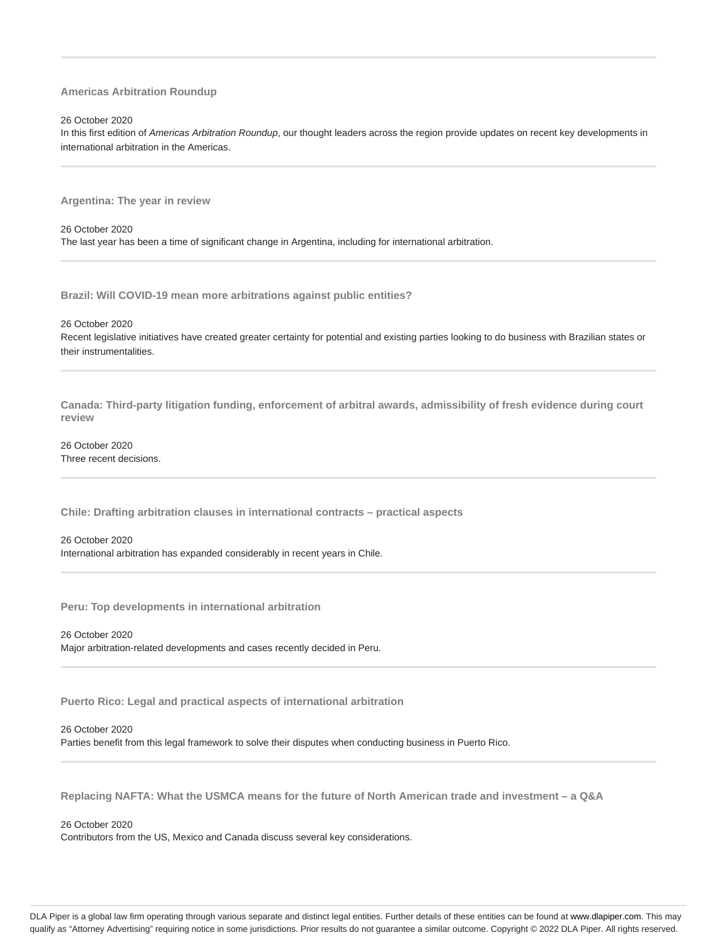#### **Americas Arbitration Roundup**

#### 26 October 2020

In this first edition of Americas Arbitration Roundup, our thought leaders across the region provide updates on recent key developments in international arbitration in the Americas.

**Argentina: The year in review**

26 October 2020 The last year has been a time of significant change in Argentina, including for international arbitration.

**Brazil: Will COVID-19 mean more arbitrations against public entities?**

26 October 2020

Recent legislative initiatives have created greater certainty for potential and existing parties looking to do business with Brazilian states or their instrumentalities.

**Canada: Third-party litigation funding, enforcement of arbitral awards, admissibility of fresh evidence during court review**

26 October 2020 Three recent decisions.

**Chile: Drafting arbitration clauses in international contracts – practical aspects**

26 October 2020 International arbitration has expanded considerably in recent years in Chile.

**Peru: Top developments in international arbitration**

26 October 2020 Major arbitration-related developments and cases recently decided in Peru.

**Puerto Rico: Legal and practical aspects of international arbitration**

26 October 2020

Parties benefit from this legal framework to solve their disputes when conducting business in Puerto Rico.

**Replacing NAFTA: What the USMCA means for the future of North American trade and investment – a Q&A**

26 October 2020

Contributors from the US, Mexico and Canada discuss several key considerations.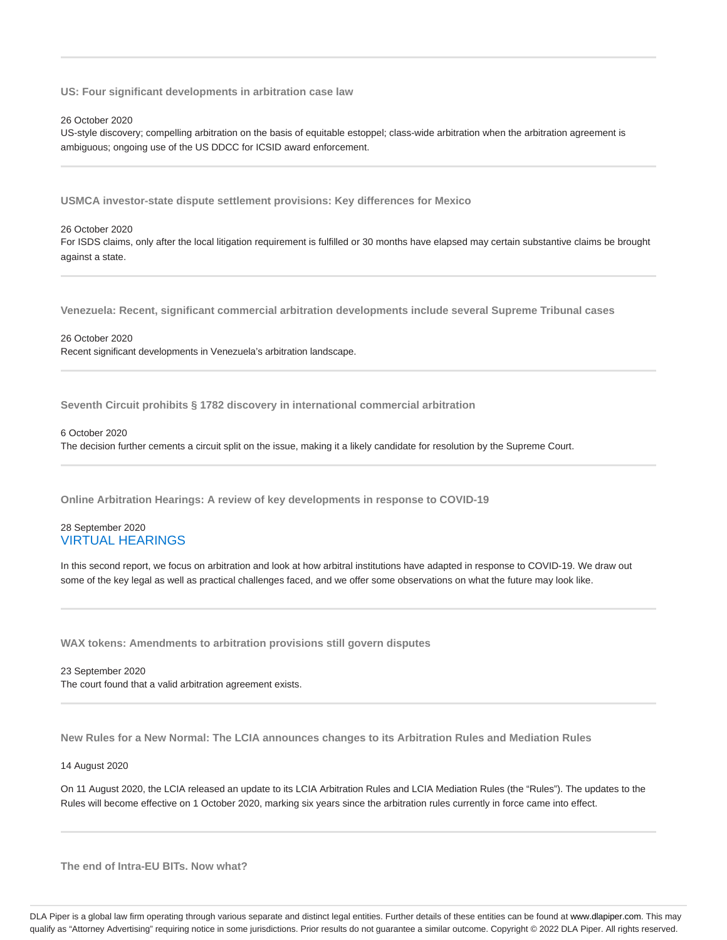**US: Four significant developments in arbitration case law**

26 October 2020

US-style discovery; compelling arbitration on the basis of equitable estoppel; class-wide arbitration when the arbitration agreement is ambiguous; ongoing use of the US DDCC for ICSID award enforcement.

**USMCA investor-state dispute settlement provisions: Key differences for Mexico**

## 26 October 2020 For ISDS claims, only after the local litigation requirement is fulfilled or 30 months have elapsed may certain substantive claims be brought against a state.

**Venezuela: Recent, significant commercial arbitration developments include several Supreme Tribunal cases**

26 October 2020 Recent significant developments in Venezuela's arbitration landscape.

**Seventh Circuit prohibits § 1782 discovery in international commercial arbitration**

6 October 2020

The decision further cements a circuit split on the issue, making it a likely candidate for resolution by the Supreme Court.

**Online Arbitration Hearings: A review of key developments in response to COVID-19**

#### 28 September 2020 VIRTUAL HEARINGS

In this second report, we focus on arbitration and look at how arbitral institutions have adapted in response to COVID-19. We draw out some of the key legal as well as practical challenges faced, and we offer some observations on what the future may look like.

**WAX tokens: Amendments to arbitration provisions still govern disputes**

23 September 2020 The court found that a valid arbitration agreement exists.

**New Rules for a New Normal: The LCIA announces changes to its Arbitration Rules and Mediation Rules**

14 August 2020

On 11 August 2020, the LCIA released an update to its LCIA Arbitration Rules and LCIA Mediation Rules (the "Rules"). The updates to the Rules will become effective on 1 October 2020, marking six years since the arbitration rules currently in force came into effect.

**The end of Intra-EU BITs. Now what?**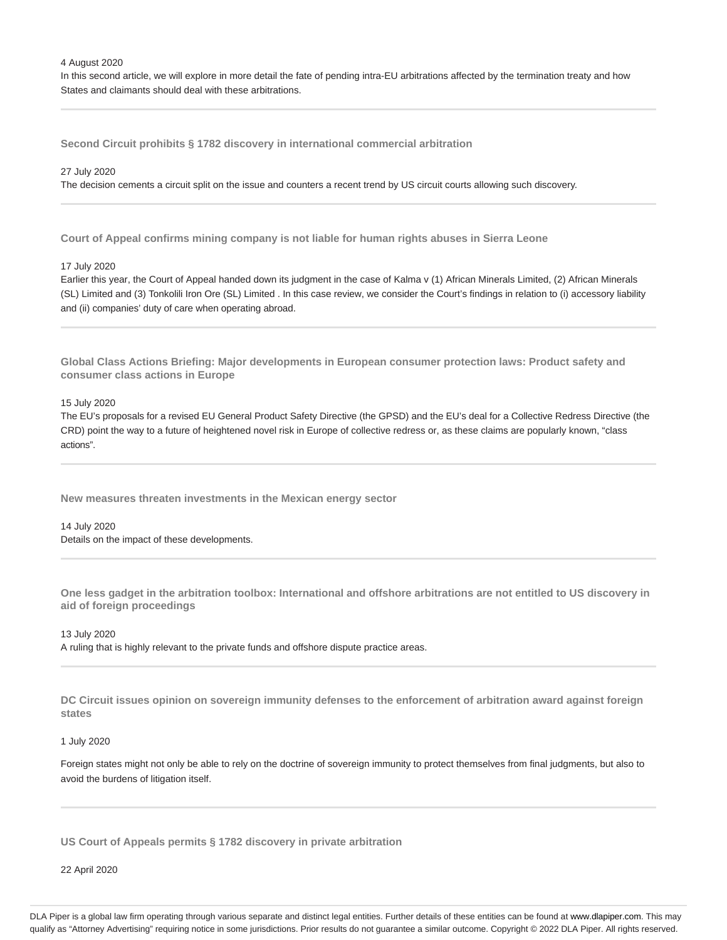#### 4 August 2020

In this second article, we will explore in more detail the fate of pending intra-EU arbitrations affected by the termination treaty and how States and claimants should deal with these arbitrations.

**Second Circuit prohibits § 1782 discovery in international commercial arbitration**

#### 27 July 2020

The decision cements a circuit split on the issue and counters a recent trend by US circuit courts allowing such discovery.

**Court of Appeal confirms mining company is not liable for human rights abuses in Sierra Leone**

#### 17 July 2020

Earlier this year, the Court of Appeal handed down its judgment in the case of Kalma v (1) African Minerals Limited, (2) African Minerals (SL) Limited and (3) Tonkolili Iron Ore (SL) Limited . In this case review, we consider the Court's findings in relation to (i) accessory liability and (ii) companies' duty of care when operating abroad.

**Global Class Actions Briefing: Major developments in European consumer protection laws: Product safety and consumer class actions in Europe**

15 July 2020

The EU's proposals for a revised EU General Product Safety Directive (the GPSD) and the EU's deal for a Collective Redress Directive (the CRD) point the way to a future of heightened novel risk in Europe of collective redress or, as these claims are popularly known, "class actions".

**New measures threaten investments in the Mexican energy sector**

14 July 2020 Details on the impact of these developments.

**One less gadget in the arbitration toolbox: International and offshore arbitrations are not entitled to US discovery in aid of foreign proceedings**

13 July 2020 A ruling that is highly relevant to the private funds and offshore dispute practice areas.

**DC Circuit issues opinion on sovereign immunity defenses to the enforcement of arbitration award against foreign states**

#### 1 July 2020

Foreign states might not only be able to rely on the doctrine of sovereign immunity to protect themselves from final judgments, but also to avoid the burdens of litigation itself.

**US Court of Appeals permits § 1782 discovery in private arbitration**

22 April 2020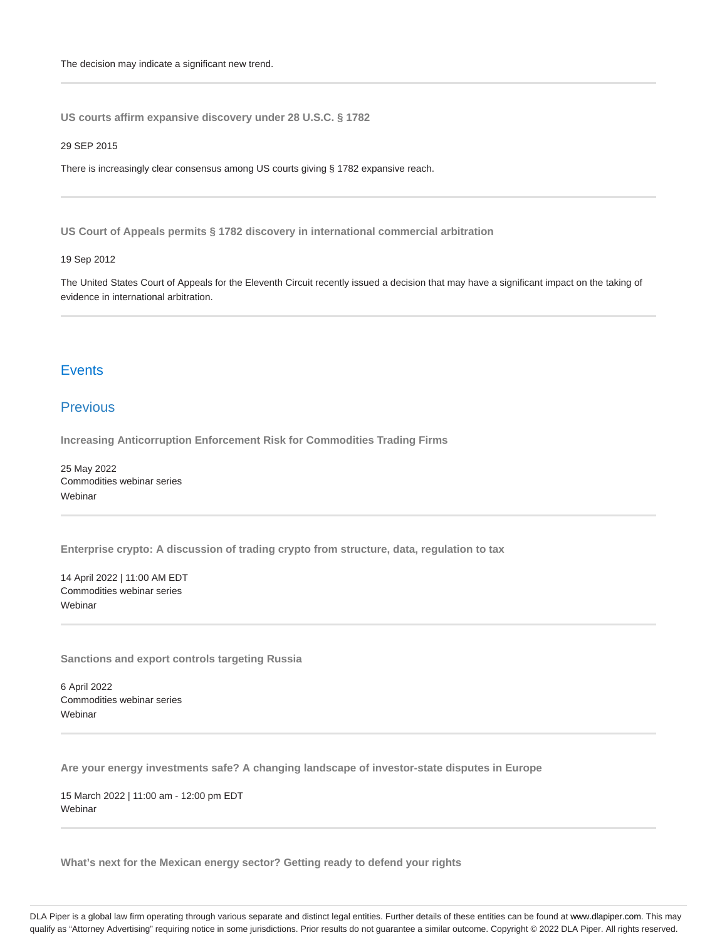**US courts affirm expansive discovery under 28 U.S.C. § 1782**

#### 29 SEP 2015

There is increasingly clear consensus among US courts giving § 1782 expansive reach.

**US Court of Appeals permits § 1782 discovery in international commercial arbitration**

#### 19 Sep 2012

The United States Court of Appeals for the Eleventh Circuit recently issued a decision that may have a significant impact on the taking of evidence in international arbitration.

## **Events**

# **Previous**

**Increasing Anticorruption Enforcement Risk for Commodities Trading Firms**

25 May 2022 Commodities webinar series **Webinar** 

**Enterprise crypto: A discussion of trading crypto from structure, data, regulation to tax**

14 April 2022 | 11:00 AM EDT Commodities webinar series **Webinar** 

**Sanctions and export controls targeting Russia**

6 April 2022 Commodities webinar series Webinar

**Are your energy investments safe? A changing landscape of investor-state disputes in Europe**

15 March 2022 | 11:00 am - 12:00 pm EDT **Webinar** 

**What's next for the Mexican energy sector? Getting ready to defend your rights**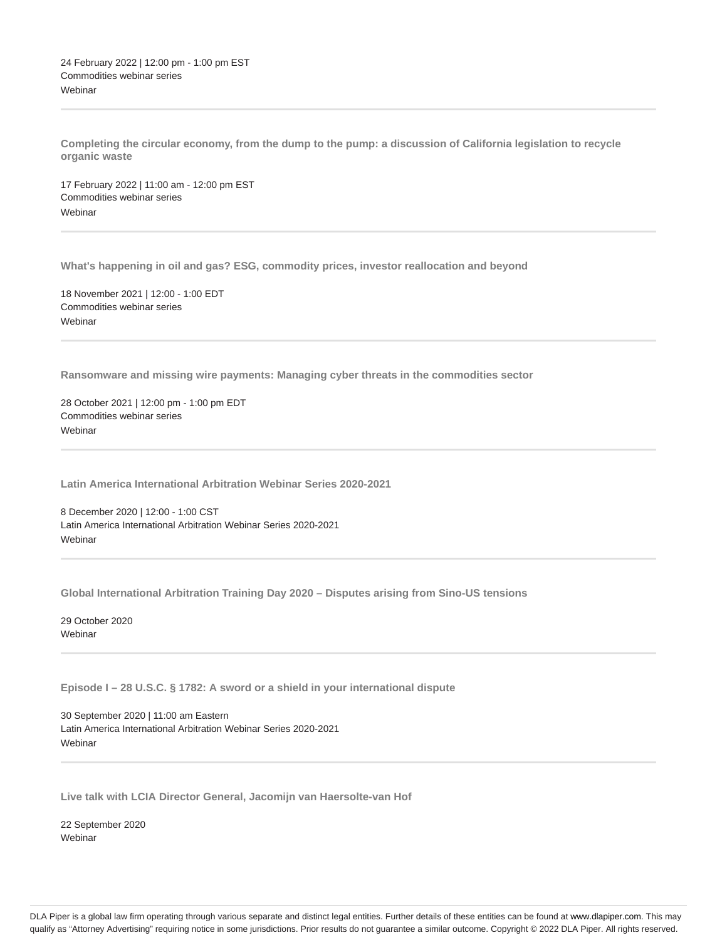24 February 2022 | 12:00 pm - 1:00 pm EST Commodities webinar series **Webinar** 

**Completing the circular economy, from the dump to the pump: a discussion of California legislation to recycle organic waste**

17 February 2022 | 11:00 am - 12:00 pm EST Commodities webinar series Webinar

**What's happening in oil and gas? ESG, commodity prices, investor reallocation and beyond**

18 November 2021 | 12:00 - 1:00 EDT Commodities webinar series **Webinar** 

**Ransomware and missing wire payments: Managing cyber threats in the commodities sector**

28 October 2021 | 12:00 pm - 1:00 pm EDT Commodities webinar series **Webinar** 

**Latin America International Arbitration Webinar Series 2020-2021**

8 December 2020 | 12:00 - 1:00 CST Latin America International Arbitration Webinar Series 2020-2021 **Webinar** 

**Global International Arbitration Training Day 2020 – Disputes arising from Sino-US tensions**

29 October 2020 Webinar

**Episode I – 28 U.S.C. § 1782: A sword or a shield in your international dispute**

30 September 2020 | 11:00 am Eastern Latin America International Arbitration Webinar Series 2020-2021 **Webinar** 

**Live talk with LCIA Director General, Jacomijn van Haersolte-van Hof**

22 September 2020 Webinar